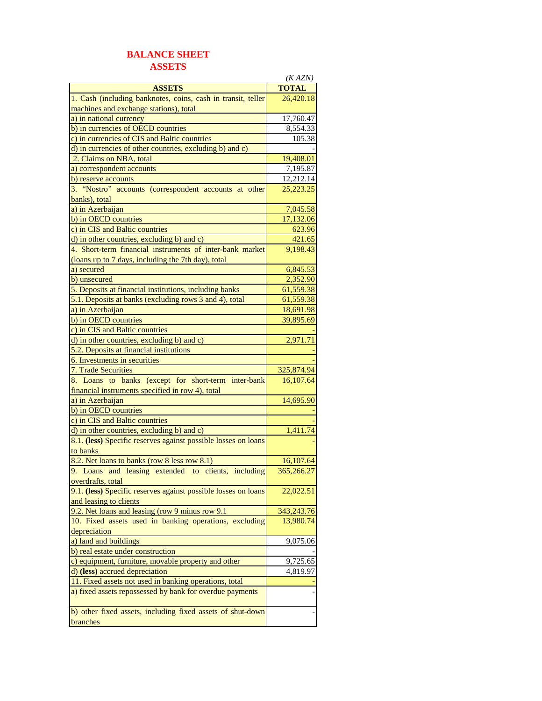## **BALANCE SHEET ASSETS**

|                                                                | (KAZN)       |
|----------------------------------------------------------------|--------------|
| <b>ASSETS</b>                                                  | <b>TOTAL</b> |
| 1. Cash (including banknotes, coins, cash in transit, teller   | 26,420.18    |
| machines and exchange stations), total                         |              |
| a) in national currency                                        | 17,760.47    |
| b) in currencies of OECD countries                             | 8,554.33     |
| c) in currencies of CIS and Baltic countries                   | 105.38       |
| d) in currencies of other countries, excluding b) and c)       |              |
| 2. Claims on NBA, total                                        | 19,408.01    |
| a) correspondent accounts                                      | 7,195.87     |
| b) reserve accounts                                            | 12,212.14    |
| 3. "Nostro" accounts (correspondent accounts at other          | 25,223.25    |
| banks), total                                                  |              |
| a) in Azerbaijan                                               | 7,045.58     |
| b) in OECD countries                                           | 17,132.06    |
| c) in CIS and Baltic countries                                 | 623.96       |
| d) in other countries, excluding b) and c)                     | 421.65       |
| 4. Short-term financial instruments of inter-bank market       | 9,198.43     |
| (loans up to 7 days, including the 7th day), total             |              |
| a) secured                                                     | 6,845.53     |
| b) unsecured                                                   | 2,352.90     |
| 5. Deposits at financial institutions, including banks         | 61,559.38    |
| 5.1. Deposits at banks (excluding rows 3 and 4), total         | 61,559.38    |
| a) in Azerbaijan                                               | 18,691.98    |
| b) in OECD countries                                           | 39,895.69    |
| c) in CIS and Baltic countries                                 |              |
| d) in other countries, excluding b) and c)                     | 2,971.71     |
| 5.2. Deposits at financial institutions                        |              |
| 6. Investments in securities                                   |              |
| 7. Trade Securities                                            | 325,874.94   |
| 8. Loans to banks (except for short-term inter-bank            | 16,107.64    |
| financial instruments specified in row 4), total               |              |
| a) in Azerbaijan<br>b) in OECD countries                       | 14,695.90    |
| c) in CIS and Baltic countries                                 |              |
| d) in other countries, excluding b) and c)                     | 1,411.74     |
| 8.1. (less) Specific reserves against possible losses on loans |              |
| to banks                                                       |              |
| 8.2. Net loans to banks (row 8 less row 8.1)                   | 16,107.64    |
| 9. Loans and leasing extended to clients, including            | 365,266.27   |
| overdrafts, total                                              |              |
| 9.1. (less) Specific reserves against possible losses on loans | 22,022.51    |
| and leasing to clients                                         |              |
| 9.2. Net loans and leasing (row 9 minus row 9.1)               | 343,243.76   |
| 10. Fixed assets used in banking operations, excluding         | 13,980.74    |
| depreciation                                                   |              |
| a) land and buildings                                          | 9,075.06     |
| b) real estate under construction                              |              |
| c) equipment, furniture, movable property and other            | 9,725.65     |
| d) (less) accrued depreciation                                 | 4,819.97     |
| 11. Fixed assets not used in banking operations, total         |              |
| a) fixed assets repossessed by bank for overdue payments       |              |
|                                                                |              |
| b) other fixed assets, including fixed assets of shut-down     |              |
| branches                                                       |              |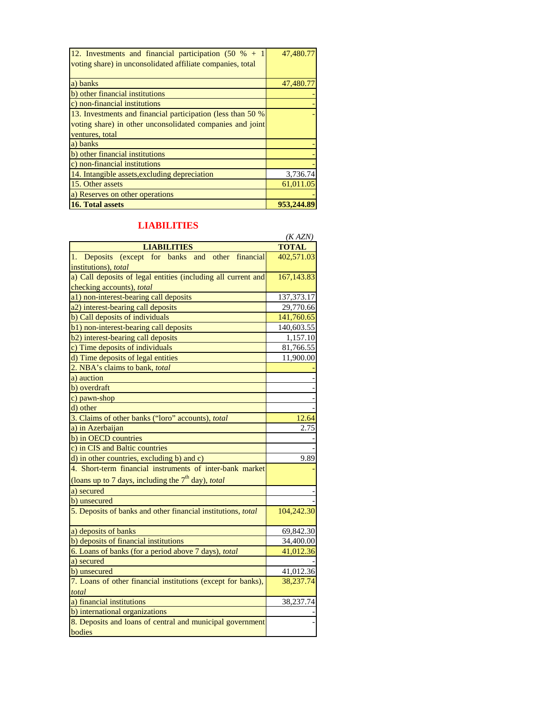| 12. Investments and financial participation $(50 \, % + 1)$<br>voting share) in unconsolidated affiliate companies, total | 47,480.77 |
|---------------------------------------------------------------------------------------------------------------------------|-----------|
| a) banks                                                                                                                  | 47,480.77 |
| b) other financial institutions                                                                                           |           |
| c) non-financial institutions                                                                                             |           |
| 13. Investments and financial participation (less than 50 %)                                                              |           |
| voting share) in other unconsolidated companies and joint                                                                 |           |
| ventures, total                                                                                                           |           |
| a) banks                                                                                                                  |           |
| b) other financial institutions                                                                                           |           |
| c) non-financial institutions                                                                                             |           |
| 14. Intangible assets, excluding depreciation                                                                             | 3,736.74  |
| 15. Other assets                                                                                                          | 61,011.05 |
| a) Reserves on other operations                                                                                           |           |
| 16. Total assets                                                                                                          | 953.244   |

## **LIABILITIES**

|                                                               | (KAZN)       |
|---------------------------------------------------------------|--------------|
| <b>LIABILITIES</b>                                            | <b>TOTAL</b> |
| Deposits (except for banks and other<br>financial<br>1.       | 402,571.03   |
| institutions), total                                          |              |
| a) Call deposits of legal entities (including all current and | 167,143.83   |
| checking accounts), total                                     |              |
| a1) non-interest-bearing call deposits                        | 137, 373. 17 |
| a2) interest-bearing call deposits                            | 29,770.66    |
| b) Call deposits of individuals                               | 141,760.65   |
| b1) non-interest-bearing call deposits                        | 140,603.55   |
| b2) interest-bearing call deposits                            | 1,157.10     |
| c) Time deposits of individuals                               | 81,766.55    |
| d) Time deposits of legal entities                            | 11,900.00    |
| 2. NBA's claims to bank, total                                |              |
| a) auction                                                    |              |
| b) overdraft                                                  |              |
| c) pawn-shop                                                  |              |
| d) other                                                      |              |
| 3. Claims of other banks ("loro" accounts), total             | 12.64        |
| a) in Azerbaijan                                              | 2.75         |
| b) in OECD countries                                          |              |
| c) in CIS and Baltic countries                                |              |
| d) in other countries, excluding b) and c)                    | 9.89         |
| 4. Short-term financial instruments of inter-bank market      |              |
| (loans up to 7 days, including the $7th$ day), total          |              |
| a) secured                                                    |              |
| b) unsecured                                                  |              |
| 5. Deposits of banks and other financial institutions, total  | 104,242.30   |
| a) deposits of banks                                          | 69,842.30    |
| b) deposits of financial institutions                         | 34,400.00    |
| 6. Loans of banks (for a period above 7 days), total          | 41,012.36    |
| a) secured                                                    |              |
| b) unsecured                                                  | 41,012.36    |
| 7. Loans of other financial institutions (except for banks),  | 38,237.74    |
| total                                                         |              |
| a) financial institutions                                     | 38,237.74    |
| b) international organizations                                |              |
| 8. Deposits and loans of central and municipal government     |              |
| bodies                                                        |              |